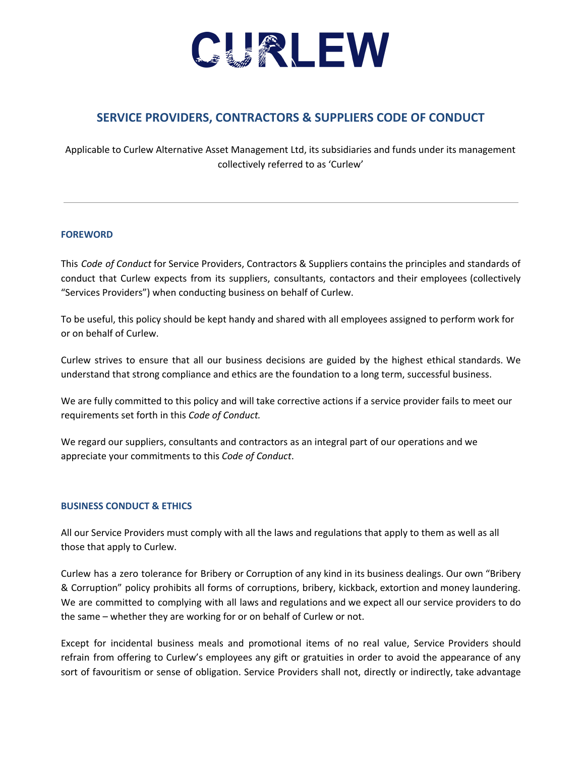

# **SERVICE PROVIDERS, CONTRACTORS & SUPPLIERS CODE OF CONDUCT**

Applicable to Curlew Alternative Asset Management Ltd, its subsidiaries and funds under its management collectively referred to as 'Curlew'

## **FOREWORD**

This *Code of Conduct* for Service Providers, Contractors & Suppliers contains the principles and standards of conduct that Curlew expects from its suppliers, consultants, contactors and their employees (collectively "Services Providers") when conducting business on behalf of Curlew.

To be useful, this policy should be kept handy and shared with all employees assigned to perform work for or on behalf of Curlew.

Curlew strives to ensure that all our business decisions are guided by the highest ethical standards. We understand that strong compliance and ethics are the foundation to a long term, successful business.

We are fully committed to this policy and will take corrective actions if a service provider fails to meet our requirements set forth in this *Code of Conduct.*

We regard our suppliers, consultants and contractors as an integral part of our operations and we appreciate your commitments to this *Code of Conduct*.

## **BUSINESS CONDUCT & ETHICS**

All our Service Providers must comply with all the laws and regulations that apply to them as well as all those that apply to Curlew.

Curlew has a zero tolerance for Bribery or Corruption of any kind in its business dealings. Our own "Bribery & Corruption" policy prohibits all forms of corruptions, bribery, kickback, extortion and money laundering. We are committed to complying with all laws and regulations and we expect all our service providers to do the same – whether they are working for or on behalf of Curlew or not.

Except for incidental business meals and promotional items of no real value, Service Providers should refrain from offering to Curlew's employees any gift or gratuities in order to avoid the appearance of any sort of favouritism or sense of obligation. Service Providers shall not, directly or indirectly, take advantage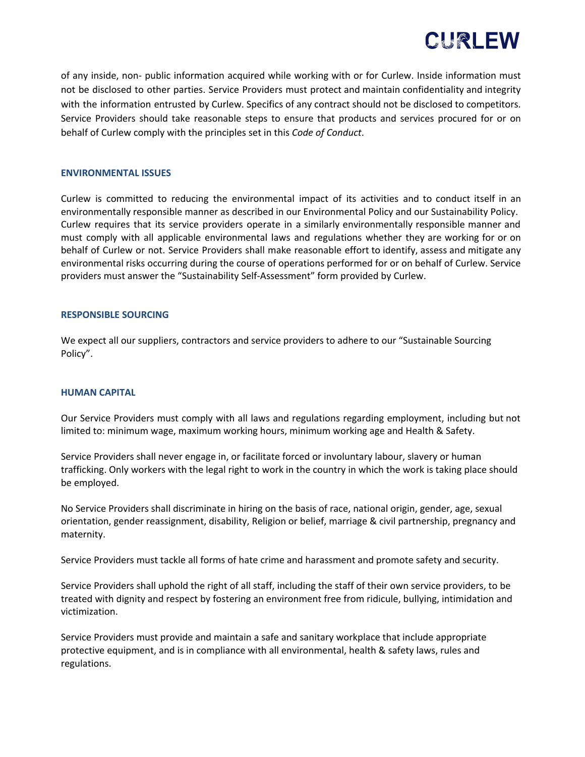

of any inside, non- public information acquired while working with or for Curlew. Inside information must not be disclosed to other parties. Service Providers must protect and maintain confidentiality and integrity with the information entrusted by Curlew. Specifics of any contract should not be disclosed to competitors. Service Providers should take reasonable steps to ensure that products and services procured for or on behalf of Curlew comply with the principles set in this *Code of Conduct*.

### **ENVIRONMENTAL ISSUES**

Curlew is committed to reducing the environmental impact of its activities and to conduct itself in an environmentally responsible manner as described in our Environmental Policy and our Sustainability Policy. Curlew requires that its service providers operate in a similarly environmentally responsible manner and must comply with all applicable environmental laws and regulations whether they are working for or on behalf of Curlew or not. Service Providers shall make reasonable effort to identify, assess and mitigate any environmental risks occurring during the course of operations performed for or on behalf of Curlew. Service providers must answer the "Sustainability Self-Assessment" form provided by Curlew.

#### **RESPONSIBLE SOURCING**

We expect all our suppliers, contractors and service providers to adhere to our "Sustainable Sourcing Policy".

#### **HUMAN CAPITAL**

Our Service Providers must comply with all laws and regulations regarding employment, including but not limited to: minimum wage, maximum working hours, minimum working age and Health & Safety.

Service Providers shall never engage in, or facilitate forced or involuntary labour, slavery or human trafficking. Only workers with the legal right to work in the country in which the work is taking place should be employed.

No Service Providers shall discriminate in hiring on the basis of race, national origin, gender, age, sexual orientation, gender reassignment, disability, Religion or belief, marriage & civil partnership, pregnancy and maternity.

Service Providers must tackle all forms of hate crime and harassment and promote safety and security.

Service Providers shall uphold the right of all staff, including the staff of their own service providers, to be treated with dignity and respect by fostering an environment free from ridicule, bullying, intimidation and victimization.

Service Providers must provide and maintain a safe and sanitary workplace that include appropriate protective equipment, and is in compliance with all environmental, health & safety laws, rules and regulations.